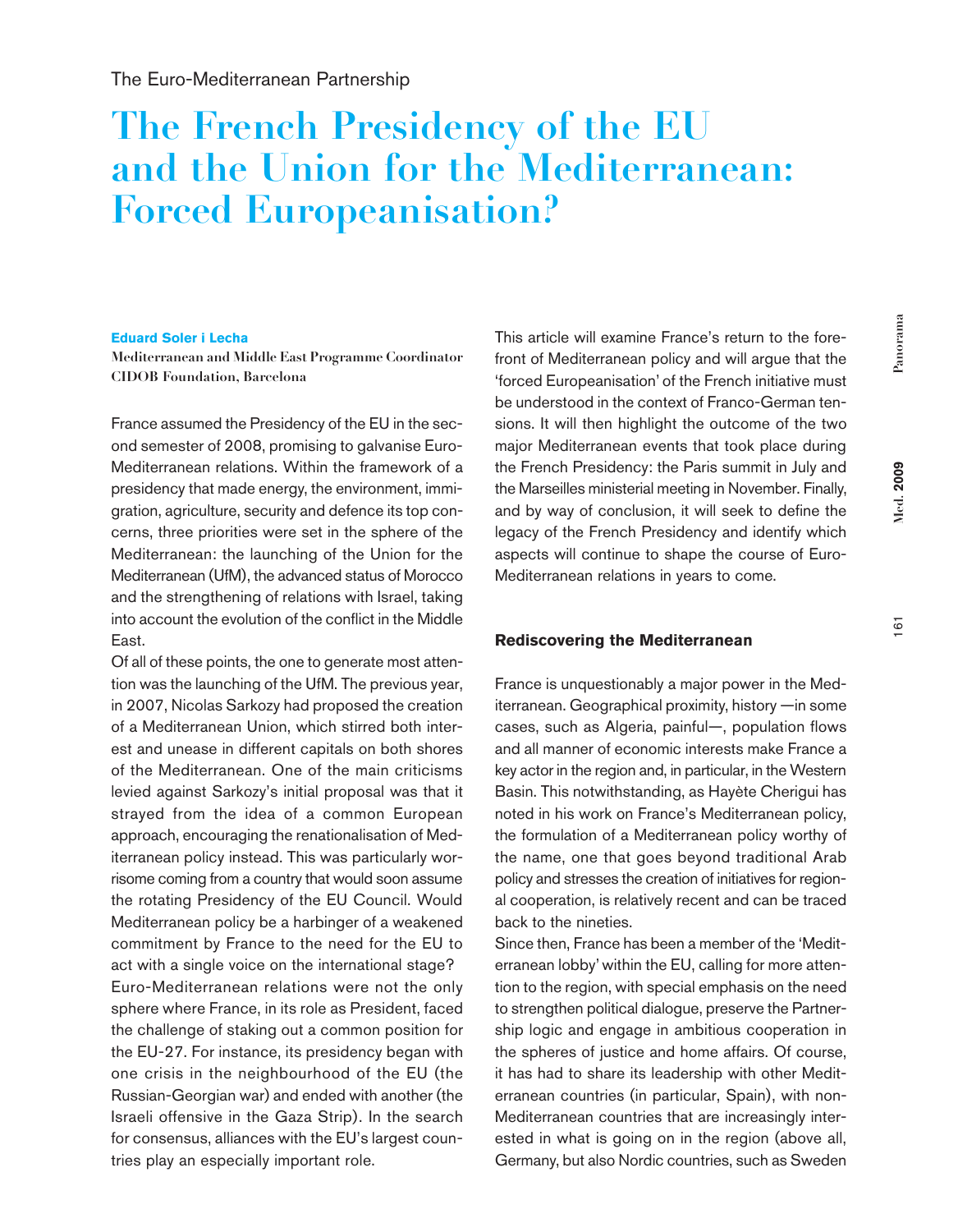161

# **The French Presidency of the EU and the Union for the Mediterranean: Forced Europeanisation?**

#### **Eduard Soler i Lecha**

**Mediterranean and Middle East Programme Coordinator CIDOB Foundation, Barcelona** 

France assumed the Presidency of the EU in the second semester of 2008, promising to galvanise Euro-Mediterranean relations. Within the framework of a presidency that made energy, the environment, immigration, agriculture, security and defence its top concerns, three priorities were set in the sphere of the Mediterranean: the launching of the Union for the Mediterranean (UfM), the advanced status of Morocco and the strengthening of relations with Israel, taking into account the evolution of the conflict in the Middle East.

Of all of these points, the one to generate most attention was the launching of the UfM. The previous year, in 2007, Nicolas Sarkozy had proposed the creation of a Mediterranean Union, which stirred both interest and unease in different capitals on both shores of the Mediterranean. One of the main criticisms levied against Sarkozy's initial proposal was that it strayed from the idea of a common European approach, encouraging the renationalisation of Mediterranean policy instead. This was particularly worrisome coming from a country that would soon assume the rotating Presidency of the EU Council. Would Mediterranean policy be a harbinger of a weakened commitment by France to the need for the EU to act with a single voice on the international stage? Euro-Mediterranean relations were not the only sphere where France, in its role as President, faced the challenge of staking out a common position for the EU-27. For instance, its presidency began with one crisis in the neighbourhood of the EU (the Russian-Georgian war) and ended with another (the Israeli offensive in the Gaza Strip). In the search for consensus, alliances with the EU's largest countries play an especially important role.

This article will examine France's return to the forefront of Mediterranean policy and will argue that the 'forced Europeanisation' of the French initiative must be understood in the context of Franco-German tensions. It will then highlight the outcome of the two major Mediterranean events that took place during the French Presidency: the Paris summit in July and the Marseilles ministerial meeting in November. Finally, and by way of conclusion, it will seek to define the legacy of the French Presidency and identify which aspects will continue to shape the course of Euro-Mediterranean relations in years to come.

#### **Rediscovering the Mediterranean**

France is unquestionably a major power in the Mediterranean. Geographical proximity, history —in some cases, such as Algeria, painful—, population flows and all manner of economic interests make France a key actor in the region and, in particular, in the Western Basin. This notwithstanding, as Hayète Cherigui has noted in his work on France's Mediterranean policy, the formulation of a Mediterranean policy worthy of the name, one that goes beyond traditional Arab policy and stresses the creation of initiatives for regional cooperation, is relatively recent and can be traced back to the nineties.

Since then, France has been a member of the 'Mediterranean lobby' within the EU, calling for more attention to the region, with special emphasis on the need to strengthen political dialogue, preserve the Partnership logic and engage in ambitious cooperation in the spheres of justice and home affairs. Of course, it has had to share its leadership with other Mediterranean countries (in particular, Spain), with non-Mediterranean countries that are increasingly interested in what is going on in the region (above all, Germany, but also Nordic countries, such as Sweden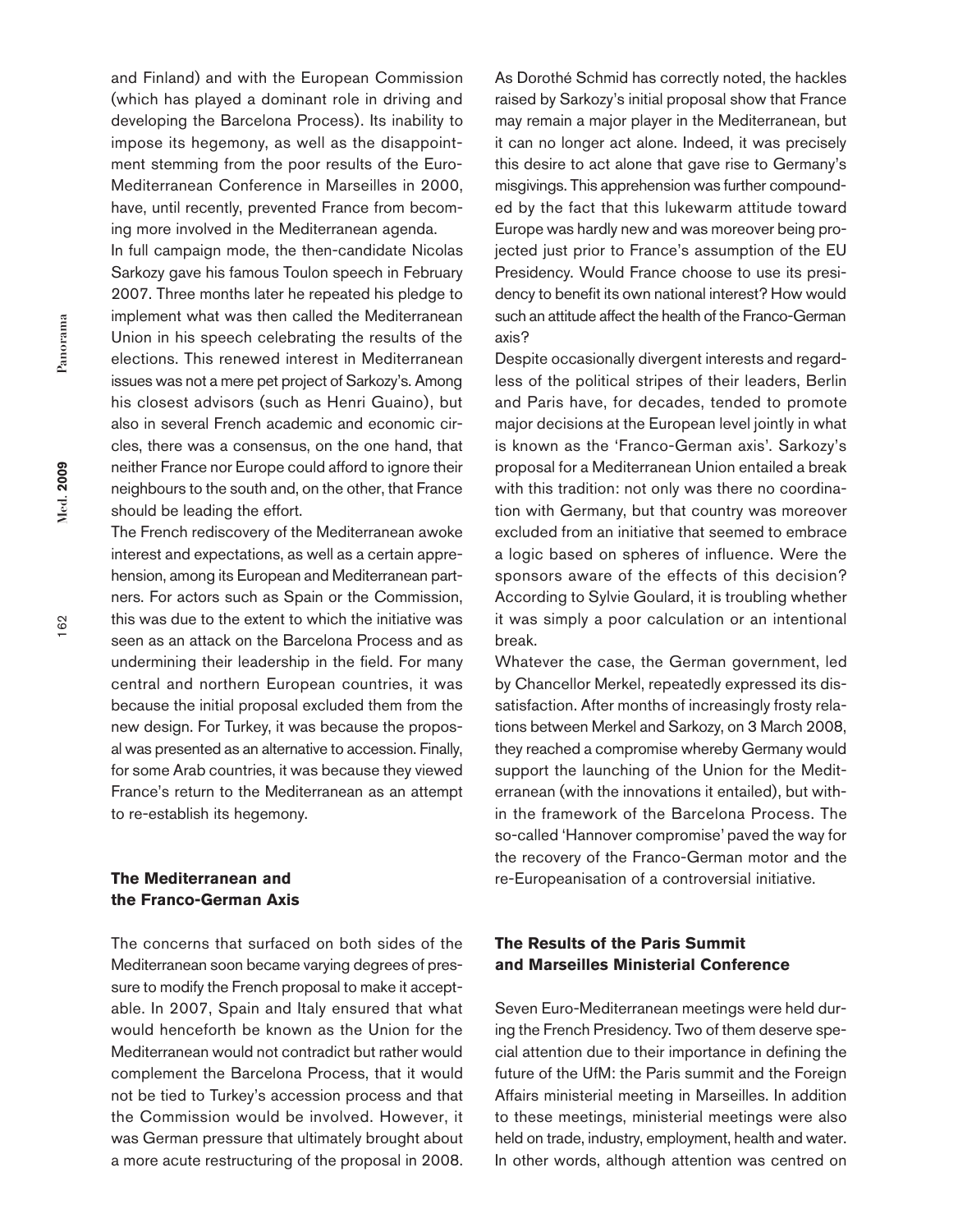and Finland) and with the European Commission (which has played a dominant role in driving and developing the Barcelona Process). Its inability to impose its hegemony, as well as the disappointment stemming from the poor results of the Euro-Mediterranean Conference in Marseilles in 2000, have, until recently, prevented France from becoming more involved in the Mediterranean agenda.

In full campaign mode, the then-candidate Nicolas Sarkozy gave his famous Toulon speech in February 2007. Three months later he repeated his pledge to implement what was then called the Mediterranean Union in his speech celebrating the results of the elections. This renewed interest in Mediterranean issues was not a mere pet project of Sarkozy's. Among his closest advisors (such as Henri Guaino), but also in several French academic and economic circles, there was a consensus, on the one hand, that neither France nor Europe could afford to ignore their neighbours to the south and, on the other, that France should be leading the effort.

The French rediscovery of the Mediterranean awoke interest and expectations, as well as a certain apprehension, among its European and Mediterranean partners. For actors such as Spain or the Commission, this was due to the extent to which the initiative was seen as an attack on the Barcelona Process and as undermining their leadership in the field. For many central and northern European countries, it was because the initial proposal excluded them from the new design. For Turkey, it was because the proposal was presented as an alternative to accession. Finally, for some Arab countries, it was because they viewed France's return to the Mediterranean as an attempt to re-establish its hegemony.

# **The Mediterranean and the Franco-German Axis**

The concerns that surfaced on both sides of the Mediterranean soon became varying degrees of pressure to modify the French proposal to make it acceptable. In 2007, Spain and Italy ensured that what would henceforth be known as the Union for the Mediterranean would not contradict but rather would complement the Barcelona Process, that it would not be tied to Turkey's accession process and that the Commission would be involved. However, it was German pressure that ultimately brought about a more acute restructuring of the proposal in 2008.

As Dorothé Schmid has correctly noted, the hackles raised by Sarkozy's initial proposal show that France may remain a major player in the Mediterranean, but it can no longer act alone. Indeed, it was precisely this desire to act alone that gave rise to Germany's misgivings. This apprehension was further compounded by the fact that this lukewarm attitude toward Europe was hardly new and was moreover being projected just prior to France's assumption of the EU Presidency. Would France choose to use its presidency to benefit its own national interest? How would such an attitude affect the health of the Franco-German axis?

Despite occasionally divergent interests and regardless of the political stripes of their leaders, Berlin and Paris have, for decades, tended to promote major decisions at the European level jointly in what is known as the 'Franco-German axis'. Sarkozy's proposal for a Mediterranean Union entailed a break with this tradition: not only was there no coordination with Germany, but that country was moreover excluded from an initiative that seemed to embrace a logic based on spheres of influence. Were the sponsors aware of the effects of this decision? According to Sylvie Goulard, it is troubling whether it was simply a poor calculation or an intentional break.

Whatever the case, the German government, led by Chancellor Merkel, repeatedly expressed its dissatisfaction. After months of increasingly frosty relations between Merkel and Sarkozy, on 3 March 2008, they reached a compromise whereby Germany would support the launching of the Union for the Mediterranean (with the innovations it entailed), but within the framework of the Barcelona Process. The so-called 'Hannover compromise' paved the way for the recovery of the Franco-German motor and the re-Europeanisation of a controversial initiative.

## **The Results of the Paris Summit and Marseilles Ministerial Conference**

Seven Euro-Mediterranean meetings were held during the French Presidency. Two of them deserve special attention due to their importance in defining the future of the UfM: the Paris summit and the Foreign Affairs ministerial meeting in Marseilles. In addition to these meetings, ministerial meetings were also held on trade, industry, employment, health and water. In other words, although attention was centred on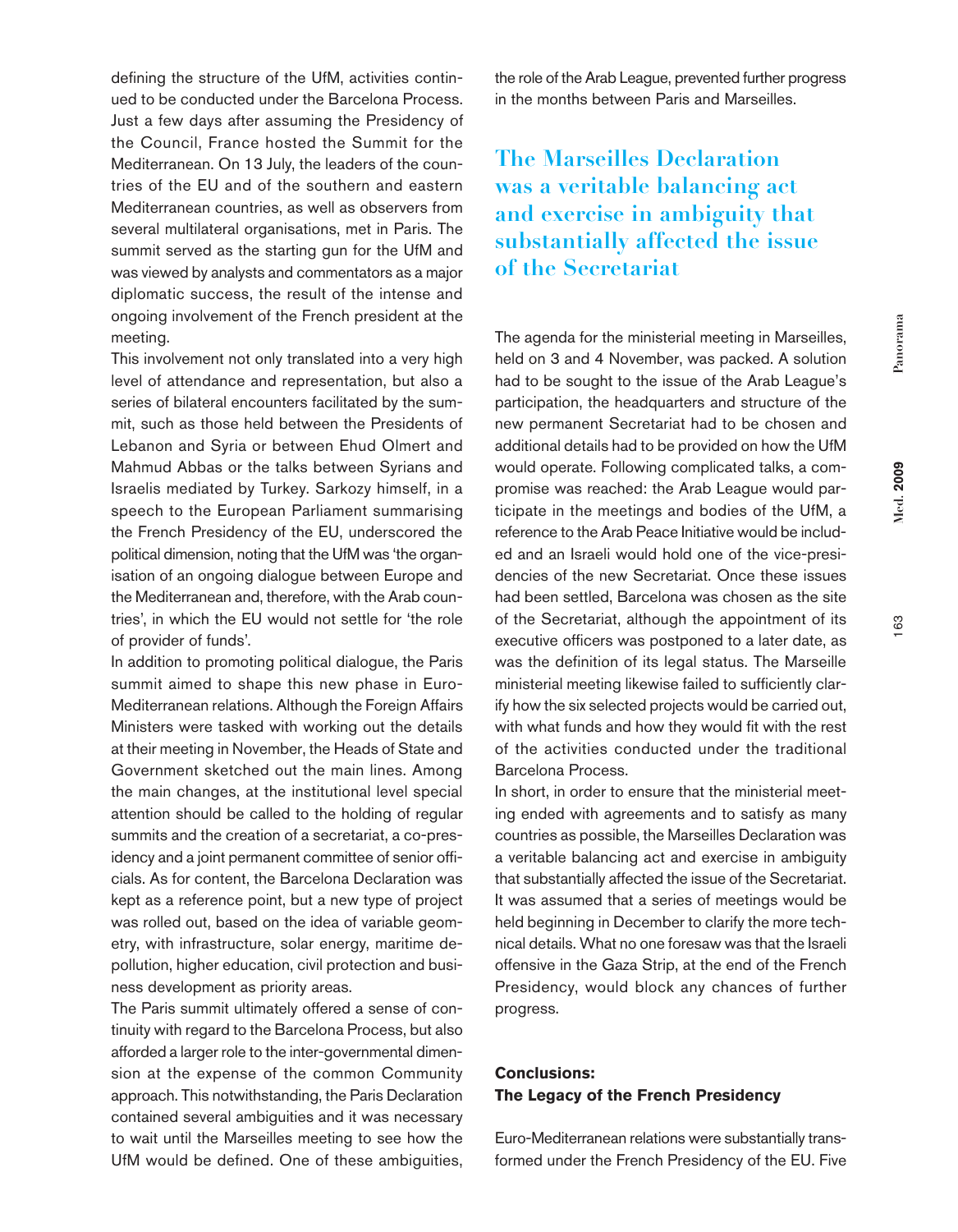163

defining the structure of the UfM, activities continued to be conducted under the Barcelona Process. Just a few days after assuming the Presidency of the Council, France hosted the Summit for the Mediterranean. On 13 July, the leaders of the countries of the EU and of the southern and eastern Mediterranean countries, as well as observers from several multilateral organisations, met in Paris. The summit served as the starting gun for the UfM and was viewed by analysts and commentators as a major diplomatic success, the result of the intense and ongoing involvement of the French president at the meeting.

This involvement not only translated into a very high level of attendance and representation, but also a series of bilateral encounters facilitated by the summit, such as those held between the Presidents of Lebanon and Syria or between Ehud Olmert and Mahmud Abbas or the talks between Syrians and Israelis mediated by Turkey. Sarkozy himself, in a speech to the European Parliament summarising the French Presidency of the EU, underscored the political dimension, noting that the UfM was 'the organisation of an ongoing dialogue between Europe and the Mediterranean and, therefore, with the Arab countries', in which the EU would not settle for 'the role of provider of funds'.

In addition to promoting political dialogue, the Paris summit aimed to shape this new phase in Euro-Mediterranean relations. Although the Foreign Affairs Ministers were tasked with working out the details at their meeting in November, the Heads of State and Government sketched out the main lines. Among the main changes, at the institutional level special attention should be called to the holding of regular summits and the creation of a secretariat, a co-presidency and a joint permanent committee of senior officials. As for content, the Barcelona Declaration was kept as a reference point, but a new type of project was rolled out, based on the idea of variable geometry, with infrastructure, solar energy, maritime depollution, higher education, civil protection and business development as priority areas.

The Paris summit ultimately offered a sense of continuity with regard to the Barcelona Process, but also afforded a larger role to the inter-governmental dimension at the expense of the common Community approach. This notwithstanding, the Paris Declaration contained several ambiguities and it was necessary to wait until the Marseilles meeting to see how the UfM would be defined. One of these ambiguities,

the role of the Arab League, prevented further progress in the months between Paris and Marseilles.

# **The Marseilles Declaration was a veritable balancing act and exercise in ambiguity that substantially affected the issue of the Secretariat**

The agenda for the ministerial meeting in Marseilles, held on 3 and 4 November, was packed. A solution had to be sought to the issue of the Arab League's participation, the headquarters and structure of the new permanent Secretariat had to be chosen and additional details had to be provided on how the UfM would operate. Following complicated talks, a compromise was reached: the Arab League would participate in the meetings and bodies of the UfM, a reference to the Arab Peace Initiative would be included and an Israeli would hold one of the vice-presidencies of the new Secretariat. Once these issues had been settled, Barcelona was chosen as the site of the Secretariat, although the appointment of its executive officers was postponed to a later date, as was the definition of its legal status. The Marseille ministerial meeting likewise failed to sufficiently clarify how the six selected projects would be carried out, with what funds and how they would fit with the rest of the activities conducted under the traditional Barcelona Process.

In short, in order to ensure that the ministerial meeting ended with agreements and to satisfy as many countries as possible, the Marseilles Declaration was a veritable balancing act and exercise in ambiguity that substantially affected the issue of the Secretariat. It was assumed that a series of meetings would be held beginning in December to clarify the more technical details. What no one foresaw was that the Israeli offensive in the Gaza Strip, at the end of the French Presidency, would block any chances of further progress.

## **Conclusions: The Legacy of the French Presidency**

Euro-Mediterranean relations were substantially transformed under the French Presidency of the EU. Five